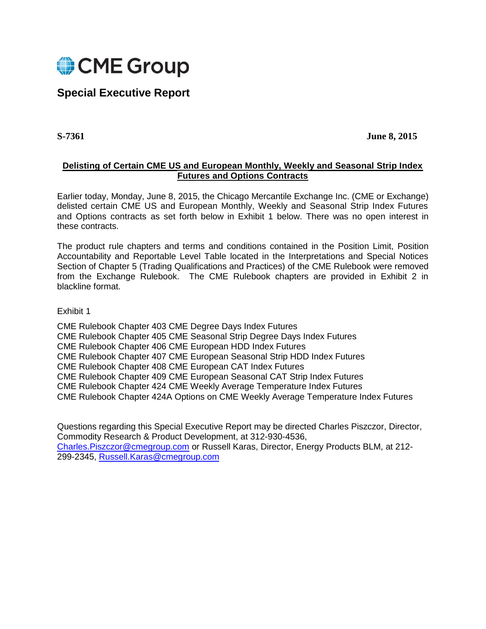

# **Special Executive Report**

**S-7361 June 8, 2015**

# **Delisting of Certain CME US and European Monthly, Weekly and Seasonal Strip Index Futures and Options Contracts**

Earlier today, Monday, June 8, 2015, the Chicago Mercantile Exchange Inc. (CME or Exchange) delisted certain CME US and European Monthly, Weekly and Seasonal Strip Index Futures and Options contracts as set forth below in Exhibit 1 below. There was no open interest in these contracts.

The product rule chapters and terms and conditions contained in the Position Limit, Position Accountability and Reportable Level Table located in the Interpretations and Special Notices Section of Chapter 5 (Trading Qualifications and Practices) of the CME Rulebook were removed from the Exchange Rulebook. The CME Rulebook chapters are provided in Exhibit 2 in blackline format.

# Exhibit 1

CME Rulebook Chapter 403 CME Degree Days Index Futures CME Rulebook Chapter 405 CME Seasonal Strip Degree Days Index Futures CME Rulebook Chapter 406 CME European HDD Index Futures CME Rulebook Chapter 407 CME European Seasonal Strip HDD Index Futures CME Rulebook Chapter 408 CME European CAT Index Futures CME Rulebook Chapter 409 CME European Seasonal CAT Strip Index Futures CME Rulebook Chapter 424 CME Weekly Average Temperature Index Futures CME Rulebook Chapter 424A Options on CME Weekly Average Temperature Index Futures

Questions regarding this Special Executive Report may be directed Charles Piszczor, Director, Commodity Research & Product Development, at 312-930-4536, [Charles.Piszczor@cmegroup.com](mailto:Charles.Piszczor@cmegroup.com) or Russell Karas, Director, Energy Products BLM, at 212- 299-2345, [Russell.Karas@cmegroup.com](mailto:Russell.Karas@cmegroup.com)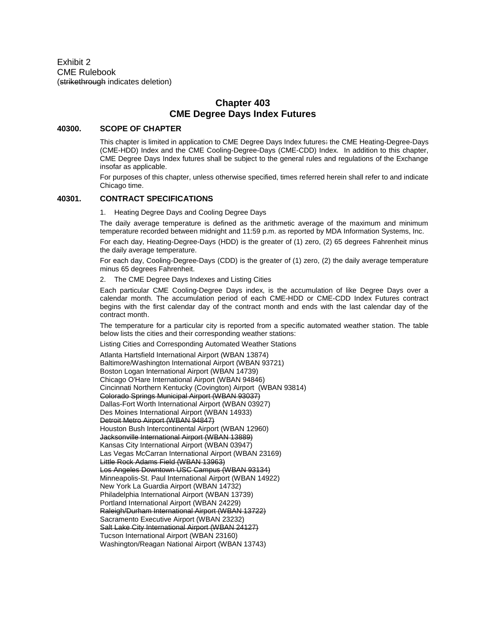Exhibit 2 CME Rulebook (strikethrough indicates deletion)

# **Chapter 403 CME Degree Days Index Futures**

#### **40300. SCOPE OF CHAPTER**

This chapter is limited in application to CME Degree Days Index futures: the CME Heating-Degree-Days (CME-HDD) Index and the CME Cooling-Degree-Days (CME-CDD) Index. In addition to this chapter, CME Degree Days Index futures shall be subject to the general rules and regulations of the Exchange insofar as applicable.

For purposes of this chapter, unless otherwise specified, times referred herein shall refer to and indicate Chicago time.

#### **40301. CONTRACT SPECIFICATIONS**

1. Heating Degree Days and Cooling Degree Days

The daily average temperature is defined as the arithmetic average of the maximum and minimum temperature recorded between midnight and 11:59 p.m. as reported by MDA Information Systems, Inc.

For each day, Heating-Degree-Days (HDD) is the greater of (1) zero, (2) 65 degrees Fahrenheit minus the daily average temperature.

For each day, Cooling-Degree-Days (CDD) is the greater of (1) zero, (2) the daily average temperature minus 65 degrees Fahrenheit.

2. The CME Degree Days Indexes and Listing Cities

Each particular CME Cooling-Degree Days index, is the accumulation of like Degree Days over a calendar month. The accumulation period of each CME-HDD or CME-CDD Index Futures contract begins with the first calendar day of the contract month and ends with the last calendar day of the contract month.

The temperature for a particular city is reported from a specific automated weather station. The table below lists the cities and their corresponding weather stations:

Listing Cities and Corresponding Automated Weather Stations

Atlanta Hartsfield International Airport (WBAN 13874) Baltimore/Washington International Airport (WBAN 93721) Boston Logan International Airport (WBAN 14739) Chicago O'Hare International Airport (WBAN 94846) Cincinnati Northern Kentucky (Covington) Airport (WBAN 93814) Colorado Springs Municipal Airport (WBAN 93037) Dallas-Fort Worth International Airport (WBAN 03927) Des Moines International Airport (WBAN 14933) Detroit Metro Airport (WBAN 94847) Houston Bush Intercontinental Airport (WBAN 12960) Jacksonville International Airport (WBAN 13889) Kansas City International Airport (WBAN 03947) Las Vegas McCarran International Airport (WBAN 23169) Little Rock Adams Field (WBAN 13963) Los Angeles Downtown USC Campus (WBAN 93134) Minneapolis-St. Paul International Airport (WBAN 14922) New York La Guardia Airport (WBAN 14732) Philadelphia International Airport (WBAN 13739) Portland International Airport (WBAN 24229) Raleigh/Durham International Airport (WBAN 13722) Sacramento Executive Airport (WBAN 23232) Salt Lake City International Airport (WBAN 24127) Tucson International Airport (WBAN 23160) Washington/Reagan National Airport (WBAN 13743)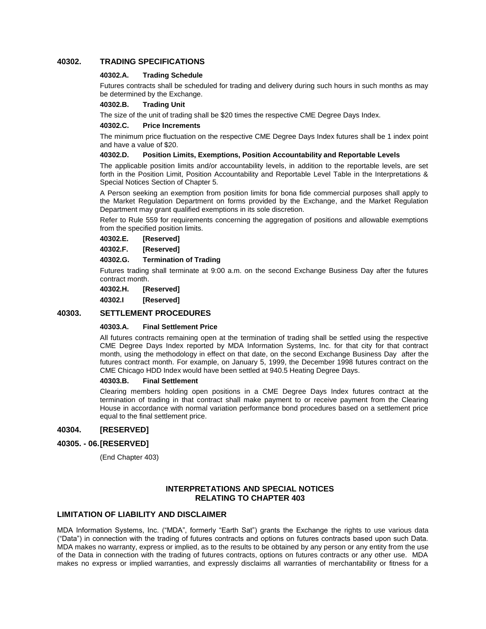## **40302. TRADING SPECIFICATIONS**

### **40302.A. Trading Schedule**

Futures contracts shall be scheduled for trading and delivery during such hours in such months as may be determined by the Exchange.

#### **40302.B. Trading Unit**

The size of the unit of trading shall be \$20 times the respective CME Degree Days Index.

#### **40302.C. Price Increments**

The minimum price fluctuation on the respective CME Degree Days Index futures shall be 1 index point and have a value of \$20.

#### **40302.D. Position Limits, Exemptions, Position Accountability and Reportable Levels**

The applicable position limits and/or accountability levels, in addition to the reportable levels, are set forth in the Position Limit, Position Accountability and Reportable Level Table in the Interpretations & Special Notices Section of Chapter 5.

A Person seeking an exemption from position limits for bona fide commercial purposes shall apply to the Market Regulation Department on forms provided by the Exchange, and the Market Regulation Department may grant qualified exemptions in its sole discretion.

Refer to Rule 559 for requirements concerning the aggregation of positions and allowable exemptions from the specified position limits.

**40302.E. [Reserved]**

**40302.F. [Reserved]**

**40302.G. Termination of Trading**

Futures trading shall terminate at 9:00 a.m. on the second Exchange Business Day after the futures contract month.

**40302.H. [Reserved]**

**40302.I [Reserved]**

## **40303. SETTLEMENT PROCEDURES**

### **40303.A. Final Settlement Price**

All futures contracts remaining open at the termination of trading shall be settled using the respective CME Degree Days Index reported by MDA Information Systems, Inc. for that city for that contract month, using the methodology in effect on that date, on the second Exchange Business Day after the futures contract month. For example, on January 5, 1999, the December 1998 futures contract on the CME Chicago HDD Index would have been settled at 940.5 Heating Degree Days.

### **40303.B. Final Settlement**

Clearing members holding open positions in a CME Degree Days Index futures contract at the termination of trading in that contract shall make payment to or receive payment from the Clearing House in accordance with normal variation performance bond procedures based on a settlement price equal to the final settlement price.

## **40304. [RESERVED]**

### **40305. - 06.[RESERVED]**

(End Chapter 403)

## **INTERPRETATIONS AND SPECIAL NOTICES RELATING TO CHAPTER 403**

### **LIMITATION OF LIABILITY AND DISCLAIMER**

MDA Information Systems, Inc. ("MDA", formerly "Earth Sat") grants the Exchange the rights to use various data ("Data") in connection with the trading of futures contracts and options on futures contracts based upon such Data. MDA makes no warranty, express or implied, as to the results to be obtained by any person or any entity from the use of the Data in connection with the trading of futures contracts, options on futures contracts or any other use. MDA makes no express or implied warranties, and expressly disclaims all warranties of merchantability or fitness for a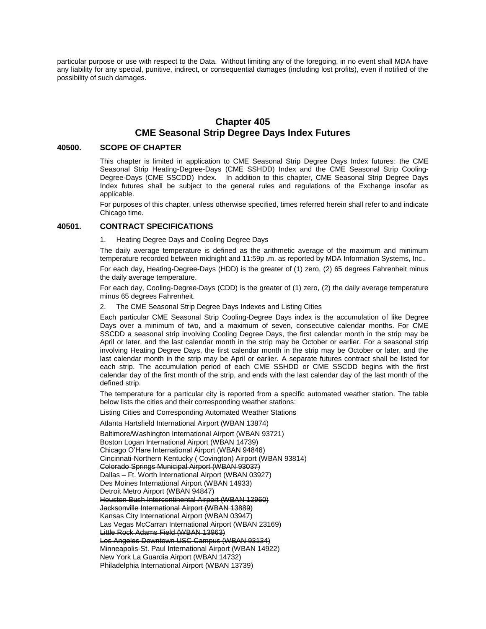particular purpose or use with respect to the Data. Without limiting any of the foregoing, in no event shall MDA have any liability for any special, punitive, indirect, or consequential damages (including lost profits), even if notified of the possibility of such damages.

# **Chapter 405 CME Seasonal Strip Degree Days Index Futures**

#### **40500. SCOPE OF CHAPTER**

This chapter is limited in application to CME Seasonal Strip Degree Days Index futures: the CME Seasonal Strip Heating-Degree-Days (CME SSHDD) Index and the CME Seasonal Strip Cooling-Degree-Days (CME SSCDD) Index. In addition to this chapter, CME Seasonal Strip Degree Days Index futures shall be subject to the general rules and regulations of the Exchange insofar as applicable.

For purposes of this chapter, unless otherwise specified, times referred herein shall refer to and indicate Chicago time.

#### **40501. CONTRACT SPECIFICATIONS**

#### 1. Heating Degree Days and Cooling Degree Days

The daily average temperature is defined as the arithmetic average of the maximum and minimum temperature recorded between midnight and 11:59p .m. as reported by MDA Information Systems, Inc..

For each day, Heating-Degree-Days (HDD) is the greater of (1) zero, (2) 65 degrees Fahrenheit minus the daily average temperature.

For each day, Cooling-Degree-Days (CDD) is the greater of (1) zero, (2) the daily average temperature minus 65 degrees Fahrenheit.

2. The CME Seasonal Strip Degree Days Indexes and Listing Cities

Each particular CME Seasonal Strip Cooling-Degree Days index is the accumulation of like Degree Days over a minimum of two, and a maximum of seven, consecutive calendar months. For CME SSCDD a seasonal strip involving Cooling Degree Days, the first calendar month in the strip may be April or later, and the last calendar month in the strip may be October or earlier. For a seasonal strip involving Heating Degree Days, the first calendar month in the strip may be October or later, and the last calendar month in the strip may be April or earlier. A separate futures contract shall be listed for each strip. The accumulation period of each CME SSHDD or CME SSCDD begins with the first calendar day of the first month of the strip, and ends with the last calendar day of the last month of the defined strip.

The temperature for a particular city is reported from a specific automated weather station. The table below lists the cities and their corresponding weather stations:

Listing Cities and Corresponding Automated Weather Stations

Atlanta Hartsfield International Airport (WBAN 13874)

Baltimore/Washington International Airport (WBAN 93721) Boston Logan International Airport (WBAN 14739) Chicago O'Hare International Airport (WBAN 94846) Cincinnati-Northern Kentucky ( Covington) Airport (WBAN 93814) Colorado Springs Municipal Airport (WBAN 93037) Dallas – Ft. Worth International Airport (WBAN 03927) Des Moines International Airport (WBAN 14933) Detroit Metro Airport (WBAN 94847) Houston Bush Intercontinental Airport (WBAN 12960) Jacksonville International Airport (WBAN 13889) Kansas City International Airport (WBAN 03947) Las Vegas McCarran International Airport (WBAN 23169) Little Rock Adams Field (WBAN 13963) Los Angeles Downtown USC Campus (WBAN 93134) Minneapolis-St. Paul International Airport (WBAN 14922) New York La Guardia Airport (WBAN 14732) Philadelphia International Airport (WBAN 13739)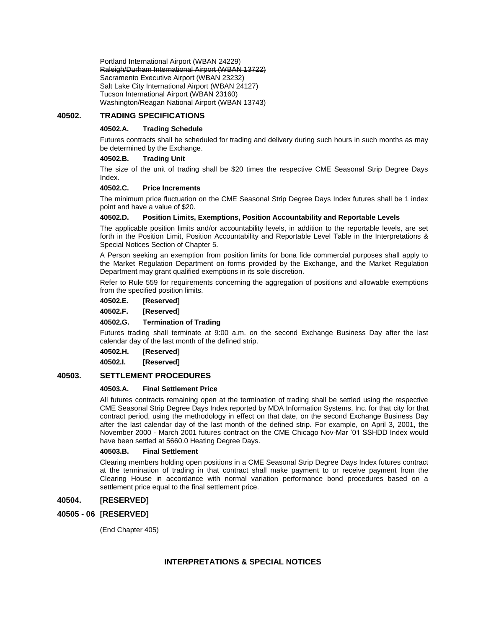Portland International Airport (WBAN 24229) Raleigh/Durham International Airport (WBAN 13722) Sacramento Executive Airport (WBAN 23232) Salt Lake City International Airport (WBAN 24127) Tucson International Airport (WBAN 23160) Washington/Reagan National Airport (WBAN 13743)

## **40502. TRADING SPECIFICATIONS**

#### **40502.A. Trading Schedule**

Futures contracts shall be scheduled for trading and delivery during such hours in such months as may be determined by the Exchange.

#### **40502.B. Trading Unit**

The size of the unit of trading shall be \$20 times the respective CME Seasonal Strip Degree Days Index.

### **40502.C. Price Increments**

The minimum price fluctuation on the CME Seasonal Strip Degree Days Index futures shall be 1 index point and have a value of \$20.

#### **40502.D. Position Limits, Exemptions, Position Accountability and Reportable Levels**

The applicable position limits and/or accountability levels, in addition to the reportable levels, are set forth in the Position Limit, Position Accountability and Reportable Level Table in the Interpretations & Special Notices Section of Chapter 5.

A Person seeking an exemption from position limits for bona fide commercial purposes shall apply to the Market Regulation Department on forms provided by the Exchange, and the Market Regulation Department may grant qualified exemptions in its sole discretion.

Refer to Rule 559 for requirements concerning the aggregation of positions and allowable exemptions from the specified position limits.

**40502.E. [Reserved]**

**40502.F. [Reserved]**

#### **40502.G. Termination of Trading**

Futures trading shall terminate at 9:00 a.m. on the second Exchange Business Day after the last calendar day of the last month of the defined strip.

#### **40502.H. [Reserved]**

**40502.I. [Reserved]**

## **40503. SETTLEMENT PROCEDURES**

### **40503.A. Final Settlement Price**

All futures contracts remaining open at the termination of trading shall be settled using the respective CME Seasonal Strip Degree Days Index reported by MDA Information Systems, Inc. for that city for that contract period, using the methodology in effect on that date, on the second Exchange Business Day after the last calendar day of the last month of the defined strip. For example, on April 3, 2001, the November 2000 - March 2001 futures contract on the CME Chicago Nov-Mar '01 SSHDD Index would have been settled at 5660.0 Heating Degree Days.

#### **40503.B. Final Settlement**

Clearing members holding open positions in a CME Seasonal Strip Degree Days Index futures contract at the termination of trading in that contract shall make payment to or receive payment from the Clearing House in accordance with normal variation performance bond procedures based on a settlement price equal to the final settlement price.

## **40504. [RESERVED]**

### **40505 - 06 [RESERVED]**

(End Chapter 405)

## **INTERPRETATIONS & SPECIAL NOTICES**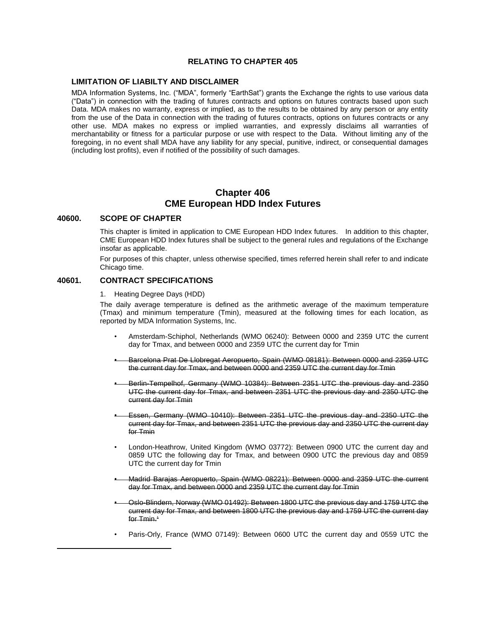## **RELATING TO CHAPTER 405**

#### **LIMITATION OF LIABILTY AND DISCLAIMER**

MDA Information Systems, Inc. ("MDA", formerly "EarthSat") grants the Exchange the rights to use various data ("Data") in connection with the trading of futures contracts and options on futures contracts based upon such Data. MDA makes no warranty, express or implied, as to the results to be obtained by any person or any entity from the use of the Data in connection with the trading of futures contracts, options on futures contracts or any other use. MDA makes no express or implied warranties, and expressly disclaims all warranties of merchantability or fitness for a particular purpose or use with respect to the Data. Without limiting any of the foregoing, in no event shall MDA have any liability for any special, punitive, indirect, or consequential damages (including lost profits), even if notified of the possibility of such damages.

## **Chapter 406 CME European HDD Index Futures**

### **40600. SCOPE OF CHAPTER**

l

This chapter is limited in application to CME European HDD Index futures. In addition to this chapter, CME European HDD Index futures shall be subject to the general rules and regulations of the Exchange insofar as applicable.

For purposes of this chapter, unless otherwise specified, times referred herein shall refer to and indicate Chicago time.

## **40601. CONTRACT SPECIFICATIONS**

1. Heating Degree Days (HDD)

The daily average temperature is defined as the arithmetic average of the maximum temperature (Tmax) and minimum temperature (Tmin), measured at the following times for each location, as reported by MDA Information Systems, Inc.

- Amsterdam-Schiphol, Netherlands (WMO 06240): Between 0000 and 2359 UTC the current day for Tmax, and between 0000 and 2359 UTC the current day for Tmin
- Barcelona Prat De Llobregat Aeropuerto, Spain (WMO 08181): Between 0000 and 2359 UTC the current day for Tmax, and between 0000 and 2359 UTC the current day for Tmin
- Berlin-Tempelhof, Germany (WMO 10384): Between 2351 UTC the previous day and 2350 UTC the current day for Tmax, and between 2351 UTC the previous day and 2350 UTC the current day for Tmin
- Essen, Germany (WMO 10410): Between 2351 UTC the previous day and 2350 UTC the current day for Tmax, and between 2351 UTC the previous day and 2350 UTC the current day for Tmin
- London-Heathrow, United Kingdom (WMO 03772): Between 0900 UTC the current day and 0859 UTC the following day for Tmax, and between 0900 UTC the previous day and 0859 UTC the current day for Tmin
- Madrid Barajas Aeropuerto, Spain (WMO 08221): Between 0000 and 2359 UTC the current day for Tmax, and between 0000 and 2359 UTC the current day for Tmin
- Oslo-Blindern, Norway (WMO 01492): Between 1800 UTC the previous day and 1759 UTC the current day for Tmax, and between 1800 UTC the previous day and 1759 UTC the current day for Tmin.<sup>1</sup>
- Paris-Orly, France (WMO 07149): Between 0600 UTC the current day and 0559 UTC the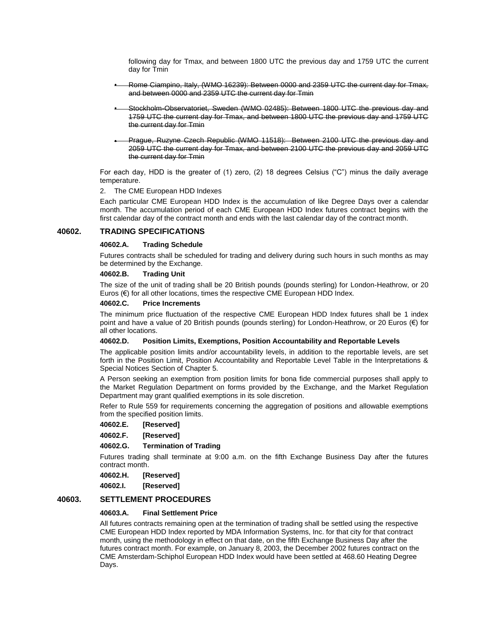following day for Tmax, and between 1800 UTC the previous day and 1759 UTC the current day for Tmin

- Rome Ciampino, Italy, (WMO 16239): Between 0000 and 2359 UTC the current day for Tmax, and between 0000 and 2359 UTC the current day for Tmin
- Stockholm-Observatoriet, Sweden (WMO 02485): Between 1800 UTC the previous day and 1759 UTC the current day for Tmax, and between 1800 UTC the previous day and 1759 UTC the current day for Tmin
- Prague, Ruzyne Czech Republic (WMO 11518): Between 2100 UTC the previous day and 2059 UTC the current day for Tmax, and between 2100 UTC the previous day and 2059 UTC the current day for Tmin

For each day, HDD is the greater of (1) zero, (2) 18 degrees Celsius ("C") minus the daily average temperature.

2. The CME European HDD Indexes

Each particular CME European HDD Index is the accumulation of like Degree Days over a calendar month. The accumulation period of each CME European HDD Index futures contract begins with the first calendar day of the contract month and ends with the last calendar day of the contract month.

### **40602. TRADING SPECIFICATIONS**

#### **40602.A. Trading Schedule**

Futures contracts shall be scheduled for trading and delivery during such hours in such months as may be determined by the Exchange.

#### **40602.B. Trading Unit**

The size of the unit of trading shall be 20 British pounds (pounds sterling) for London-Heathrow, or 20 Euros (€) for all other locations, times the respective CME European HDD Index.

#### **40602.C. Price Increments**

The minimum price fluctuation of the respective CME European HDD Index futures shall be 1 index point and have a value of 20 British pounds (pounds sterling) for London-Heathrow, or 20 Euros (€) for all other locations.

#### **40602.D. Position Limits, Exemptions, Position Accountability and Reportable Levels**

The applicable position limits and/or accountability levels, in addition to the reportable levels, are set forth in the Position Limit, Position Accountability and Reportable Level Table in the Interpretations & Special Notices Section of Chapter 5.

A Person seeking an exemption from position limits for bona fide commercial purposes shall apply to the Market Regulation Department on forms provided by the Exchange, and the Market Regulation Department may grant qualified exemptions in its sole discretion.

Refer to Rule 559 for requirements concerning the aggregation of positions and allowable exemptions from the specified position limits.

### **40602.E. [Reserved]**

**40602.F. [Reserved]**

#### **40602.G. Termination of Trading**

Futures trading shall terminate at 9:00 a.m. on the fifth Exchange Business Day after the futures contract month.

**40602.H. [Reserved]**

**40602.I. [Reserved]**

## **40603. SETTLEMENT PROCEDURES**

#### **40603.A. Final Settlement Price**

All futures contracts remaining open at the termination of trading shall be settled using the respective CME European HDD Index reported by MDA Information Systems, Inc. for that city for that contract month, using the methodology in effect on that date, on the fifth Exchange Business Day after the futures contract month. For example, on January 8, 2003, the December 2002 futures contract on the CME Amsterdam-Schiphol European HDD Index would have been settled at 468.60 Heating Degree Days.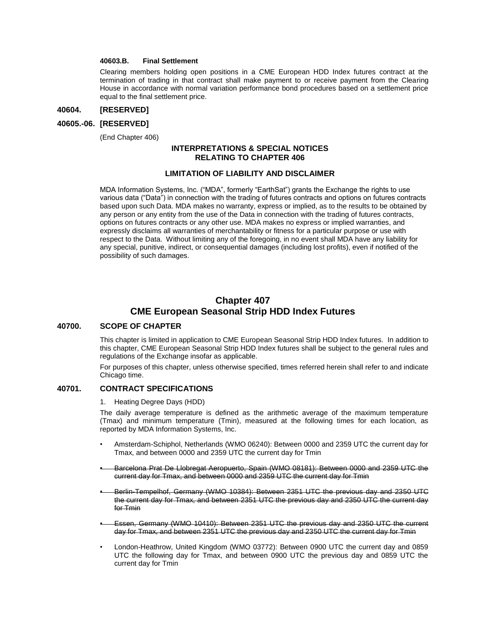## **40603.B. Final Settlement**

Clearing members holding open positions in a CME European HDD Index futures contract at the termination of trading in that contract shall make payment to or receive payment from the Clearing House in accordance with normal variation performance bond procedures based on a settlement price equal to the final settlement price.

#### **40604. [RESERVED]**

#### **40605.-06. [RESERVED]**

(End Chapter 406)

## **INTERPRETATIONS & SPECIAL NOTICES RELATING TO CHAPTER 406**

### **LIMITATION OF LIABILITY AND DISCLAIMER**

MDA Information Systems, Inc. ("MDA", formerly "EarthSat") grants the Exchange the rights to use various data ("Data") in connection with the trading of futures contracts and options on futures contracts based upon such Data. MDA makes no warranty, express or implied, as to the results to be obtained by any person or any entity from the use of the Data in connection with the trading of futures contracts, options on futures contracts or any other use. MDA makes no express or implied warranties, and expressly disclaims all warranties of merchantability or fitness for a particular purpose or use with respect to the Data. Without limiting any of the foregoing, in no event shall MDA have any liability for any special, punitive, indirect, or consequential damages (including lost profits), even if notified of the possibility of such damages.

# **Chapter 407 CME European Seasonal Strip HDD Index Futures**

## **40700. SCOPE OF CHAPTER**

This chapter is limited in application to CME European Seasonal Strip HDD Index futures. In addition to this chapter, CME European Seasonal Strip HDD Index futures shall be subject to the general rules and regulations of the Exchange insofar as applicable.

For purposes of this chapter, unless otherwise specified, times referred herein shall refer to and indicate Chicago time.

## **40701. CONTRACT SPECIFICATIONS**

1. Heating Degree Days (HDD)

The daily average temperature is defined as the arithmetic average of the maximum temperature (Tmax) and minimum temperature (Tmin), measured at the following times for each location, as reported by MDA Information Systems, Inc.

- Amsterdam-Schiphol, Netherlands (WMO 06240): Between 0000 and 2359 UTC the current day for Tmax, and between 0000 and 2359 UTC the current day for Tmin
- Barcelona Prat De Llobregat Aeropuerto, Spain (WMO 08181): Between 0000 and 2359 UTC the current day for Tmax, and between 0000 and 2359 UTC the current day for Tmin
- Berlin-Tempelhof, Germany (WMO 10384): Between 2351 UTC the previous day and 2350 UTC the current day for Tmax, and between 2351 UTC the previous day and 2350 UTC the current day for Tmin
- Essen, Germany (WMO 10410): Between 2351 UTC the previous day and 2350 UTC the current day for Tmax, and between 2351 UTC the previous day and 2350 UTC the current day for Tmin
- London-Heathrow, United Kingdom (WMO 03772): Between 0900 UTC the current day and 0859 UTC the following day for Tmax, and between 0900 UTC the previous day and 0859 UTC the current day for Tmin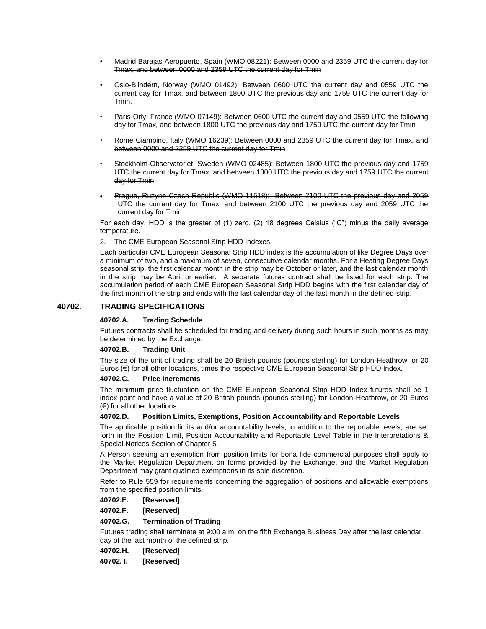- Madrid Barajas Aeropuerto, Spain (WMO 08221): Between 0000 and 2359 UTC the current day for Tmax, and between 0000 and 2359 UTC the current day for Tmin
- Oslo-Blindern, Norway (WMO 01492): Between 0600 UTC the current day and 0559 UTC the current day for Tmax, and between 1800 UTC the previous day and 1759 UTC the current day for Tmin.
- Paris-Orly, France (WMO 07149): Between 0600 UTC the current day and 0559 UTC the following day for Tmax, and between 1800 UTC the previous day and 1759 UTC the current day for Tmin
- Rome Ciampino, Italy (WMO 16239): Between 0000 and 2359 UTC the current day for Tmax, and between 0000 and 2359 UTC the current day for Tmin
- Stockholm-Observatoriet, Sweden (WMO 02485): Between 1800 UTC the previous day and 1759 UTC the current day for Tmax, and between 1800 UTC the previous day and 1759 UTC the current day for Tmin
- Prague, Ruzyne Czech Republic (WMO 11518): Between 2100 UTC the previous day and 2059 UTC the current day for Tmax, and between 2100 UTC the previous day and 2059 UTC the current day for Tmin

For each day, HDD is the greater of (1) zero, (2) 18 degrees Celsius ("C") minus the daily average temperature.

2. The CME European Seasonal Strip HDD Indexes

Each particular CME European Seasonal Strip HDD index is the accumulation of like Degree Days over a minimum of two, and a maximum of seven, consecutive calendar months. For a Heating Degree Days seasonal strip, the first calendar month in the strip may be October or later, and the last calendar month in the strip may be April or earlier. A separate futures contract shall be listed for each strip. The accumulation period of each CME European Seasonal Strip HDD begins with the first calendar day of the first month of the strip and ends with the last calendar day of the last month in the defined strip.

## **40702. TRADING SPECIFICATIONS**

### **40702.A. Trading Schedule**

Futures contracts shall be scheduled for trading and delivery during such hours in such months as may be determined by the Exchange.

#### **40702.B. Trading Unit**

The size of the unit of trading shall be 20 British pounds (pounds sterling) for London-Heathrow, or 20 Euros (€) for all other locations, times the respective CME European Seasonal Strip HDD Index.

### **40702.C. Price Increments**

The minimum price fluctuation on the CME European Seasonal Strip HDD Index futures shall be 1 index point and have a value of 20 British pounds (pounds sterling) for London-Heathrow, or 20 Euros (€) for all other locations.

#### **40702.D. Position Limits, Exemptions, Position Accountability and Reportable Levels**

The applicable position limits and/or accountability levels, in addition to the reportable levels, are set forth in the Position Limit, Position Accountability and Reportable Level Table in the Interpretations & Special Notices Section of Chapter 5.

A Person seeking an exemption from position limits for bona fide commercial purposes shall apply to the Market Regulation Department on forms provided by the Exchange, and the Market Regulation Department may grant qualified exemptions in its sole discretion.

Refer to Rule 559 for requirements concerning the aggregation of positions and allowable exemptions from the specified position limits.

### **40702.E. [Reserved]**

**40702.F. [Reserved]**

### **40702.G. Termination of Trading**

Futures trading shall terminate at 9:00 a.m. on the fifth Exchange Business Day after the last calendar day of the last month of the defined strip.

**40702.H. [Reserved]**

**40702. I. [Reserved]**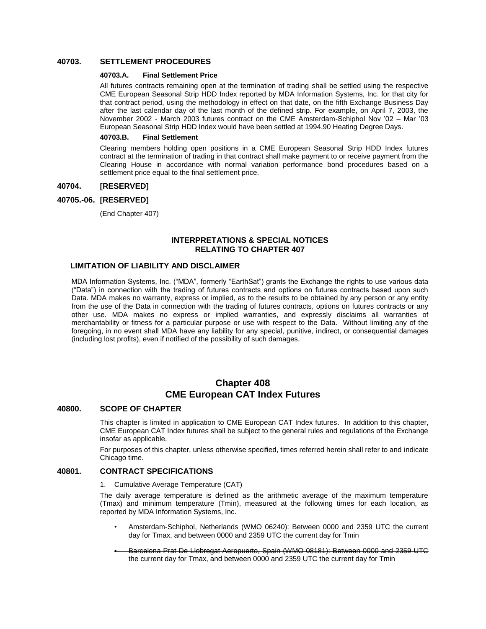## **40703. SETTLEMENT PROCEDURES**

#### **40703.A. Final Settlement Price**

All futures contracts remaining open at the termination of trading shall be settled using the respective CME European Seasonal Strip HDD Index reported by MDA Information Systems, Inc. for that city for that contract period, using the methodology in effect on that date, on the fifth Exchange Business Day after the last calendar day of the last month of the defined strip. For example, on April 7, 2003, the November 2002 - March 2003 futures contract on the CME Amsterdam-Schiphol Nov '02 – Mar '03 European Seasonal Strip HDD Index would have been settled at 1994.90 Heating Degree Days.

#### **40703.B. Final Settlement**

Clearing members holding open positions in a CME European Seasonal Strip HDD Index futures contract at the termination of trading in that contract shall make payment to or receive payment from the Clearing House in accordance with normal variation performance bond procedures based on a settlement price equal to the final settlement price.

### **40704. [RESERVED]**

## **40705.-06. [RESERVED]**

(End Chapter 407)

## **INTERPRETATIONS & SPECIAL NOTICES RELATING TO CHAPTER 407**

### **LIMITATION OF LIABILITY AND DISCLAIMER**

MDA Information Systems, Inc. ("MDA", formerly "EarthSat") grants the Exchange the rights to use various data ("Data") in connection with the trading of futures contracts and options on futures contracts based upon such Data. MDA makes no warranty, express or implied, as to the results to be obtained by any person or any entity from the use of the Data in connection with the trading of futures contracts, options on futures contracts or any other use. MDA makes no express or implied warranties, and expressly disclaims all warranties of merchantability or fitness for a particular purpose or use with respect to the Data. Without limiting any of the foregoing, in no event shall MDA have any liability for any special, punitive, indirect, or consequential damages (including lost profits), even if notified of the possibility of such damages.

## **Chapter 408 CME European CAT Index Futures**

### **40800. SCOPE OF CHAPTER**

This chapter is limited in application to CME European CAT Index futures. In addition to this chapter, CME European CAT Index futures shall be subject to the general rules and regulations of the Exchange insofar as applicable.

For purposes of this chapter, unless otherwise specified, times referred herein shall refer to and indicate Chicago time.

## **40801. CONTRACT SPECIFICATIONS**

1. Cumulative Average Temperature (CAT)

The daily average temperature is defined as the arithmetic average of the maximum temperature (Tmax) and minimum temperature (Tmin), measured at the following times for each location, as reported by MDA Information Systems, Inc.

- Amsterdam-Schiphol, Netherlands (WMO 06240): Between 0000 and 2359 UTC the current day for Tmax, and between 0000 and 2359 UTC the current day for Tmin
- Barcelona Prat De Llobregat Aeropuerto, Spain (WMO 08181): Between 0000 and 2359 UTC the current day for Tmax, and between 0000 and 2359 UTC the current day for Tmin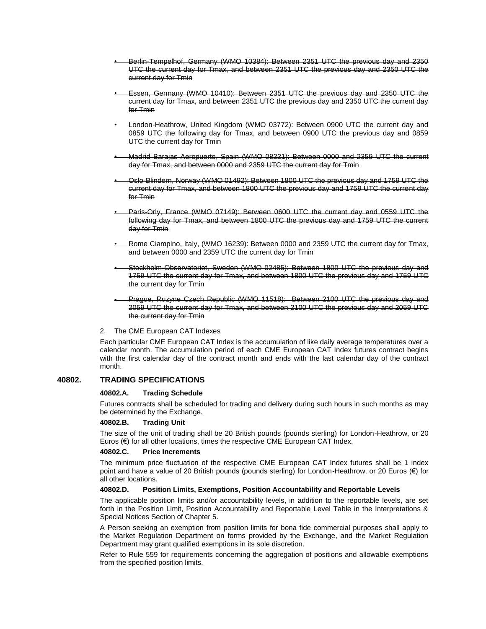- Berlin-Tempelhof, Germany (WMO 10384): Between 2351 UTC the previous day and 2350 UTC the current day for Tmax, and between 2351 UTC the previous day and 2350 UTC the current day for Tmin
- Essen, Germany (WMO 10410): Between 2351 UTC the previous day and 2350 UTC the current day for Tmax, and between 2351 UTC the previous day and 2350 UTC the current day for Tmin
- London-Heathrow, United Kingdom (WMO 03772): Between 0900 UTC the current day and 0859 UTC the following day for Tmax, and between 0900 UTC the previous day and 0859 UTC the current day for Tmin
- Madrid Barajas Aeropuerto, Spain (WMO 08221): Between 0000 and 2359 UTC the current day for Tmax, and between 0000 and 2359 UTC the current day for Tmin
- Oslo-Blindern, Norway (WMO 01492): Between 1800 UTC the previous day and 1759 UTC the current day for Tmax, and between 1800 UTC the previous day and 1759 UTC the current day for Tmin
- Paris-Orly, France (WMO 07149): Between 0600 UTC the current day and 0559 UTC the following day for Tmax, and between 1800 UTC the previous day and 1759 UTC the current day for Tmin
- Rome Ciampino, Italy, (WMO 16239): Between 0000 and 2359 UTC the current day for Tmax, and between 0000 and 2359 UTC the current day for Tmin
- Stockholm-Observatoriet, Sweden (WMO 02485): Between 1800 UTC the previous day and 1759 UTC the current day for Tmax, and between 1800 UTC the previous day and 1759 UTC the current day for Tmin
- Prague, Ruzyne Czech Republic (WMO 11518): Between 2100 UTC the previous day and 2059 UTC the current day for Tmax, and between 2100 UTC the previous day and 2059 UTC the current day for Tmin
- 2. The CME European CAT Indexes

Each particular CME European CAT Index is the accumulation of like daily average temperatures over a calendar month. The accumulation period of each CME European CAT Index futures contract begins with the first calendar day of the contract month and ends with the last calendar day of the contract month.

## **40802. TRADING SPECIFICATIONS**

## **40802.A. Trading Schedule**

Futures contracts shall be scheduled for trading and delivery during such hours in such months as may be determined by the Exchange.

### **40802.B. Trading Unit**

The size of the unit of trading shall be 20 British pounds (pounds sterling) for London-Heathrow, or 20 Euros  $(\epsilon)$  for all other locations, times the respective CME European CAT Index.

#### **40802.C. Price Increments**

The minimum price fluctuation of the respective CME European CAT Index futures shall be 1 index point and have a value of 20 British pounds (pounds sterling) for London-Heathrow, or 20 Euros (€) for all other locations.

### **40802.D. Position Limits, Exemptions, Position Accountability and Reportable Levels**

The applicable position limits and/or accountability levels, in addition to the reportable levels, are set forth in the Position Limit, Position Accountability and Reportable Level Table in the Interpretations & Special Notices Section of Chapter 5.

A Person seeking an exemption from position limits for bona fide commercial purposes shall apply to the Market Regulation Department on forms provided by the Exchange, and the Market Regulation Department may grant qualified exemptions in its sole discretion.

Refer to Rule 559 for requirements concerning the aggregation of positions and allowable exemptions from the specified position limits.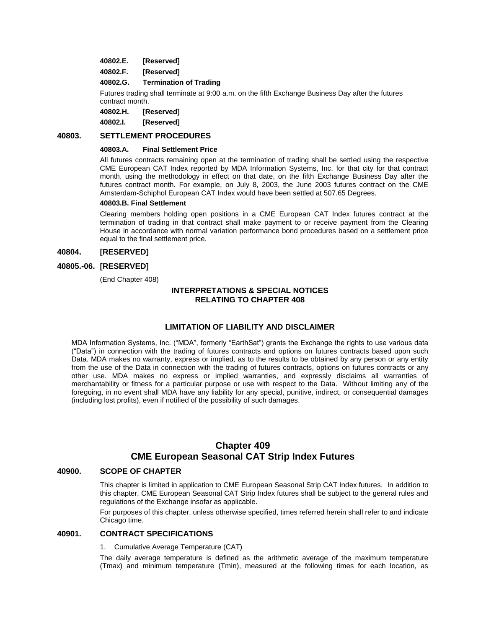- **40802.E. [Reserved]**
- **40802.F. [Reserved]**

#### **40802.G. Termination of Trading**

Futures trading shall terminate at 9:00 a.m. on the fifth Exchange Business Day after the futures contract month.

**40802.H. [Reserved]**

**40802.I. [Reserved]**

## **40803. SETTLEMENT PROCEDURES**

#### **40803.A. Final Settlement Price**

All futures contracts remaining open at the termination of trading shall be settled using the respective CME European CAT Index reported by MDA Information Systems, Inc. for that city for that contract month, using the methodology in effect on that date, on the fifth Exchange Business Day after the futures contract month. For example, on July 8, 2003, the June 2003 futures contract on the CME Amsterdam-Schiphol European CAT Index would have been settled at 507.65 Degrees.

#### **40803.B. Final Settlement**

Clearing members holding open positions in a CME European CAT Index futures contract at the termination of trading in that contract shall make payment to or receive payment from the Clearing House in accordance with normal variation performance bond procedures based on a settlement price equal to the final settlement price.

### **40804. [RESERVED]**

## **40805.-06. [RESERVED]**

(End Chapter 408)

## **INTERPRETATIONS & SPECIAL NOTICES RELATING TO CHAPTER 408**

## **LIMITATION OF LIABILITY AND DISCLAIMER**

MDA Information Systems, Inc. ("MDA", formerly "EarthSat") grants the Exchange the rights to use various data ("Data") in connection with the trading of futures contracts and options on futures contracts based upon such Data. MDA makes no warranty, express or implied, as to the results to be obtained by any person or any entity from the use of the Data in connection with the trading of futures contracts, options on futures contracts or any other use. MDA makes no express or implied warranties, and expressly disclaims all warranties of merchantability or fitness for a particular purpose or use with respect to the Data. Without limiting any of the foregoing, in no event shall MDA have any liability for any special, punitive, indirect, or consequential damages (including lost profits), even if notified of the possibility of such damages.

## **Chapter 409 CME European Seasonal CAT Strip Index Futures**

## **40900. SCOPE OF CHAPTER**

This chapter is limited in application to CME European Seasonal Strip CAT Index futures. In addition to this chapter, CME European Seasonal CAT Strip Index futures shall be subject to the general rules and regulations of the Exchange insofar as applicable.

For purposes of this chapter, unless otherwise specified, times referred herein shall refer to and indicate Chicago time.

## **40901. CONTRACT SPECIFICATIONS**

1. Cumulative Average Temperature (CAT)

The daily average temperature is defined as the arithmetic average of the maximum temperature (Tmax) and minimum temperature (Tmin), measured at the following times for each location, as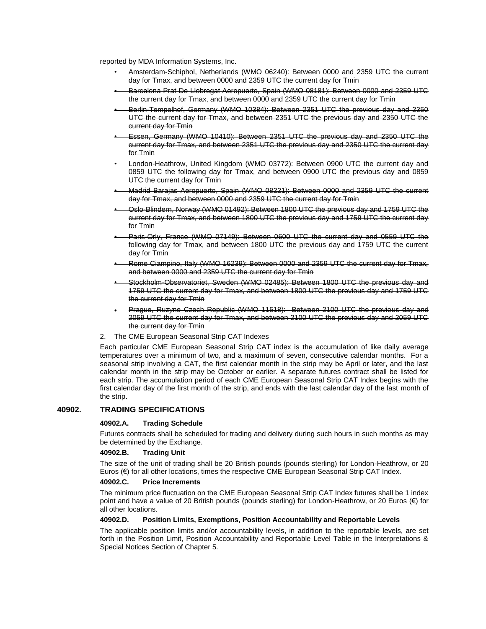reported by MDA Information Systems, Inc.

- Amsterdam-Schiphol, Netherlands (WMO 06240): Between 0000 and 2359 UTC the current day for Tmax, and between 0000 and 2359 UTC the current day for Tmin
- Barcelona Prat De Llobregat Aeropuerto, Spain (WMO 08181): Between 0000 and 2359 UTC the current day for Tmax, and between 0000 and 2359 UTC the current day for Tmin
- Berlin-Tempelhof, Germany (WMO 10384): Between 2351 UTC the previous day and 2350 UTC the current day for Tmax, and between 2351 UTC the previous day and 2350 UTC the current day for Tmin
- Essen, Germany (WMO 10410): Between 2351 UTC the previous day and 2350 UTC the current day for Tmax, and between 2351 UTC the previous day and 2350 UTC the current day for Tmin
- London-Heathrow, United Kingdom (WMO 03772): Between 0900 UTC the current day and 0859 UTC the following day for Tmax, and between 0900 UTC the previous day and 0859 UTC the current day for Tmin
- Madrid Barajas Aeropuerto, Spain (WMO 08221): Between 0000 and 2359 UTC the current day for Tmax, and between 0000 and 2359 UTC the current day for Tmin
- Oslo-Blindern, Norway (WMO 01492): Between 1800 UTC the previous day and 1759 UTC the current day for Tmax, and between 1800 UTC the previous day and 1759 UTC the current day for Tmin
- Paris-Orly, France (WMO 07149): Between 0600 UTC the current day and 0559 UTC the following day for Tmax, and between 1800 UTC the previous day and 1759 UTC the current day for Tmin
- Rome Ciampino, Italy (WMO 16239): Between 0000 and 2359 UTC the current day for Tmax, and between 0000 and 2359 UTC the current day for Tmin
- Stockholm-Observatoriet, Sweden (WMO 02485): Between 1800 UTC the previous day and 1759 UTC the current day for Tmax, and between 1800 UTC the previous day and 1759 UTC the current day for Tmin
- Prague, Ruzyne Czech Republic (WMO 11518): Between 2100 UTC the previous day and 2059 UTC the current day for Tmax, and between 2100 UTC the previous day and 2059 UTC the current day for Tmin
- 2. The CME European Seasonal Strip CAT Indexes

Each particular CME European Seasonal Strip CAT index is the accumulation of like daily average temperatures over a minimum of two, and a maximum of seven, consecutive calendar months. For a seasonal strip involving a CAT, the first calendar month in the strip may be April or later, and the last calendar month in the strip may be October or earlier. A separate futures contract shall be listed for each strip. The accumulation period of each CME European Seasonal Strip CAT Index begins with the first calendar day of the first month of the strip, and ends with the last calendar day of the last month of the strip.

### **40902. TRADING SPECIFICATIONS**

#### **40902.A. Trading Schedule**

Futures contracts shall be scheduled for trading and delivery during such hours in such months as may be determined by the Exchange.

#### **40902.B. Trading Unit**

The size of the unit of trading shall be 20 British pounds (pounds sterling) for London-Heathrow, or 20 Euros (€) for all other locations, times the respective CME European Seasonal Strip CAT Index.

#### **40902.C. Price Increments**

The minimum price fluctuation on the CME European Seasonal Strip CAT Index futures shall be 1 index point and have a value of 20 British pounds (pounds sterling) for London-Heathrow, or 20 Euros (€) for all other locations.

#### **40902.D. Position Limits, Exemptions, Position Accountability and Reportable Levels**

The applicable position limits and/or accountability levels, in addition to the reportable levels, are set forth in the Position Limit, Position Accountability and Reportable Level Table in the Interpretations & Special Notices Section of Chapter 5.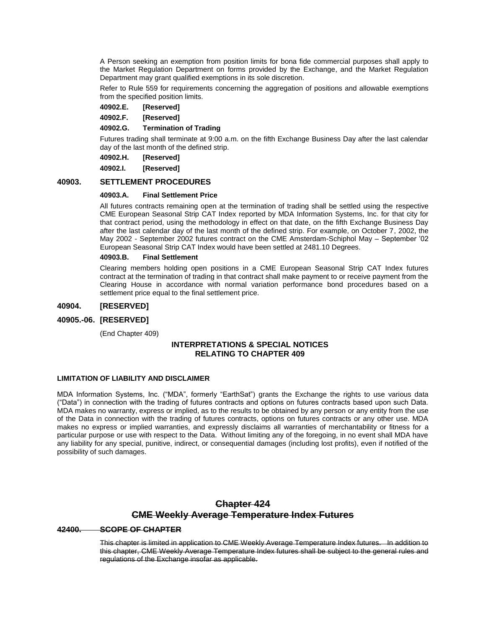A Person seeking an exemption from position limits for bona fide commercial purposes shall apply to the Market Regulation Department on forms provided by the Exchange, and the Market Regulation Department may grant qualified exemptions in its sole discretion.

Refer to Rule 559 for requirements concerning the aggregation of positions and allowable exemptions from the specified position limits.

**40902.E. [Reserved]**

**40902.F. [Reserved]**

**40902.G. Termination of Trading**

Futures trading shall terminate at 9:00 a.m. on the fifth Exchange Business Day after the last calendar day of the last month of the defined strip.

**40902.H. [Reserved]**

**40902.I. [Reserved]**

### **40903. SETTLEMENT PROCEDURES**

#### **40903.A. Final Settlement Price**

All futures contracts remaining open at the termination of trading shall be settled using the respective CME European Seasonal Strip CAT Index reported by MDA Information Systems, Inc. for that city for that contract period, using the methodology in effect on that date, on the fifth Exchange Business Day after the last calendar day of the last month of the defined strip. For example, on October 7, 2002, the May 2002 - September 2002 futures contract on the CME Amsterdam-Schiphol May – September '02 European Seasonal Strip CAT Index would have been settled at 2481.10 Degrees.

#### **40903.B. Final Settlement**

Clearing members holding open positions in a CME European Seasonal Strip CAT Index futures contract at the termination of trading in that contract shall make payment to or receive payment from the Clearing House in accordance with normal variation performance bond procedures based on a settlement price equal to the final settlement price.

### **40904. [RESERVED]**

## **40905.-06. [RESERVED]**

(End Chapter 409)

## **INTERPRETATIONS & SPECIAL NOTICES RELATING TO CHAPTER 409**

#### **LIMITATION OF LIABILITY AND DISCLAIMER**

MDA Information Systems, Inc. ("MDA", formerly "EarthSat") grants the Exchange the rights to use various data ("Data") in connection with the trading of futures contracts and options on futures contracts based upon such Data. MDA makes no warranty, express or implied, as to the results to be obtained by any person or any entity from the use of the Data in connection with the trading of futures contracts, options on futures contracts or any other use. MDA makes no express or implied warranties, and expressly disclaims all warranties of merchantability or fitness for a particular purpose or use with respect to the Data. Without limiting any of the foregoing, in no event shall MDA have any liability for any special, punitive, indirect, or consequential damages (including lost profits), even if notified of the possibility of such damages.

# **Chapter 424 CME Weekly Average Temperature Index Futures**

### **42400. SCOPE OF CHAPTER**

This chapter is limited in application to CME Weekly Average Temperature Index futures. In addition to this chapter, CME Weekly Average Temperature Index futures shall be subject to the general rules and regulations of the Exchange insofar as applicable.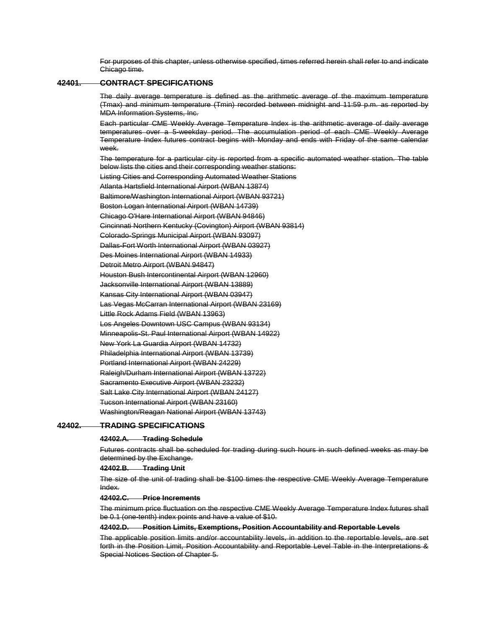For purposes of this chapter, unless otherwise specified, times referred herein shall refer to and indicate Chicago time.

## **42401. CONTRACT SPECIFICATIONS**

The daily average temperature is defined as the arithmetic average of the maximum temperature (Tmax) and minimum temperature (Tmin) recorded between midnight and 11:59 p.m. as reported by MDA Information Systems, Inc.

Each particular CME Weekly Average Temperature Index is the arithmetic average of daily average temperatures over a 5-weekday period. The accumulation period of each CME Weekly Average Temperature Index futures contract begins with Monday and ends with Friday of the same calendar week.

The temperature for a particular city is reported from a specific automated weather station. The table below lists the cities and their corresponding weather stations:

Listing Cities and Corresponding Automated Weather Stations Atlanta Hartsfield International Airport (WBAN 13874) Baltimore/Washington International Airport (WBAN 93721) Boston Logan International Airport (WBAN 14739) Chicago O'Hare International Airport (WBAN 94846) Cincinnati Northern Kentucky (Covington) Airport (WBAN 93814) Colorado-Springs Municipal Airport (WBAN 93097) Dallas-Fort Worth International Airport (WBAN 03927) Des Moines International Airport (WBAN 14933) Detroit Metro Airport (WBAN 94847) Houston Bush Intercontinental Airport (WBAN 12960) Jacksonville International Airport (WBAN 13889) Kansas City International Airport (WBAN 03947) Las Vegas McCarran International Airport (WBAN 23169) Little Rock Adams Field (WBAN 13963) Los Angeles Downtown USC Campus (WBAN 93134) Minneapolis-St. Paul International Airport (WBAN 14922) New York La Guardia Airport (WBAN 14732) Philadelphia International Airport (WBAN 13739) Portland International Airport (WBAN 24229) Raleigh/Durham International Airport (WBAN 13722) Sacramento Executive Airport (WBAN 23232) Salt Lake City International Airport (WBAN 24127) Tucson International Airport (WBAN 23160) Washington/Reagan National Airport (WBAN 13743)

#### **42402. TRADING SPECIFICATIONS**

#### **42402.A. Trading Schedule**

Futures contracts shall be scheduled for trading during such hours in such defined weeks as may be determined by the Exchange.

#### **42402.B. Trading Unit**

The size of the unit of trading shall be \$100 times the respective CME Weekly Average Temperature Index.

### **42402.C. Price Increments**

The minimum price fluctuation on the respective CME Weekly Average Temperature Index futures shall be 0.1 (one-tenth) index points and have a value of \$10.

#### **42402.D. Position Limits, Exemptions, Position Accountability and Reportable Levels**

The applicable position limits and/or accountability levels, in addition to the reportable levels, are set forth in the Position Limit, Position Accountability and Reportable Level Table in the Interpretations & Special Notices Section of Chapter 5.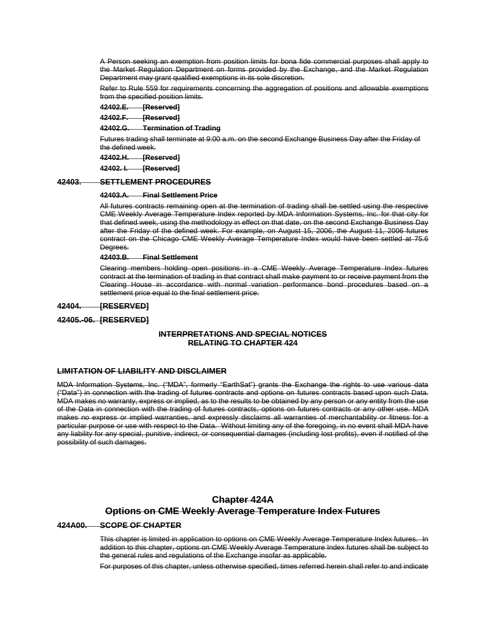A Person seeking an exemption from position limits for bona fide commercial purposes shall apply to the Market Regulation Department on forms provided by the Exchange, and the Market Regulation Department may grant qualified exemptions in its sole discretion.

Refer to Rule 559 for requirements concerning the aggregation of positions and allowable exemptions from the specified position limits.

**42402.E. [Reserved]**

**42402.F. [Reserved]**

**42402.G. Termination of Trading**

Futures trading shall terminate at 9:00 a.m. on the second Exchange Business Day after the Friday of the defined week.

**42402.H. [Reserved]**

**42402. I. [Reserved]**

## **42403. SETTLEMENT PROCEDURES**

#### **42403.A. Final Settlement Price**

All futures contracts remaining open at the termination of trading shall be settled using the respective CME Weekly Average Temperature Index reported by MDA Information Systems, Inc. for that city for that defined week, using the methodology in effect on that date, on the second Exchange Business Day after the Friday of the defined week. For example, on August 15, 2006, the August 11, 2006 futures contract on the Chicago CME Weekly Average Temperature Index would have been settled at 75.6 Degrees.

**42403.B. Final Settlement**

Clearing members holding open positions in a CME Weekly Average Temperature Index futures contract at the termination of trading in that contract shall make payment to or receive payment from the Clearing House in accordance with normal variation performance bond procedures based on a settlement price equal to the final settlement price.

**42404. [RESERVED]**

#### **42405.-06. [RESERVED]**

## **INTERPRETATIONS AND SPECIAL NOTICES RELATING TO CHAPTER 424**

#### **LIMITATION OF LIABILITY AND DISCLAIMER**

MDA Information Systems, Inc. ("MDA", formerly "EarthSat") grants the Exchange the rights to use various data ("Data") in connection with the trading of futures contracts and options on futures contracts based upon such Data. MDA makes no warranty, express or implied, as to the results to be obtained by any person or any entity from the use of the Data in connection with the trading of futures contracts, options on futures contracts or any other use. MDA makes no express or implied warranties, and expressly disclaims all warranties of merchantability or fitness for a particular purpose or use with respect to the Data. Without limiting any of the foregoing, in no event shall MDA have any liability for any special, punitive, indirect, or consequential damages (including lost profits), even if notified of the possibility of such damages.

## **Chapter 424A Options on CME Weekly Average Temperature Index Futures**

#### **424A00. SCOPE OF CHAPTER**

This chapter is limited in application to options on CME Weekly Average Temperature Index futures. In addition to this chapter, options on CME Weekly Average Temperature Index futures shall be subject to the general rules and regulations of the Exchange insofar as applicable.

For purposes of this chapter, unless otherwise specified, times referred herein shall refer to and indicate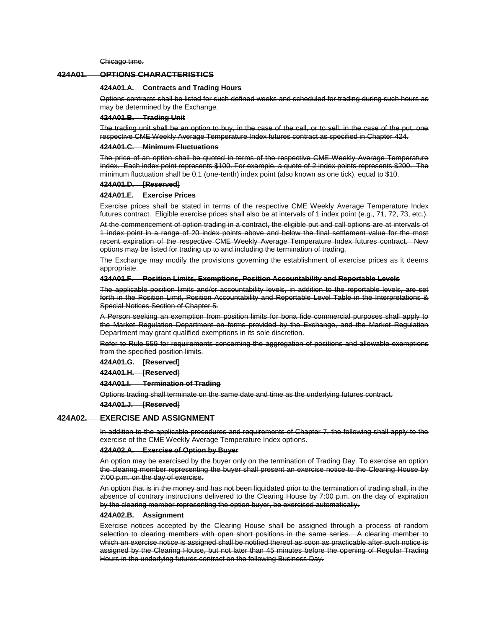Chicago time.

### **424A01. OPTIONS CHARACTERISTICS**

#### **424A01.A. Contracts and Trading Hours**

Options contracts shall be listed for such defined weeks and scheduled for trading during such hours as may be determined by the Exchange.

#### **424A01.B. Trading Unit**

The trading unit shall be an option to buy, in the case of the call, or to sell, in the case of the put, one respective CME Weekly Average Temperature Index futures contract as specified in Chapter 424.

#### **424A01.C. Minimum Fluctuations**

The price of an option shall be quoted in terms of the respective CME Weekly Average Temperature Index. Each index point represents \$100. For example, a quote of 2 index points represents \$200. The minimum fluctuation shall be 0.1 (one-tenth) index point (also known as one tick), equal to \$10.

#### **424A01.D. [Reserved]**

#### **424A01.E. Exercise Prices**

Exercise prices shall be stated in terms of the respective CME Weekly Average Temperature Index futures contract. Eligible exercise prices shall also be at intervals of 1 index point (e.g., 71, 72, 73, etc.).

At the commencement of option trading in a contract, the eligible put and call options are at intervals of 1 index point in a range of 20 index points above and below the final settlement value for the most recent expiration of the respective CME Weekly Average Temperature Index futures contract. New options may be listed for trading up to and including the termination of trading.

The Exchange may modify the provisions governing the establishment of exercise prices as it deems appropriate.

#### **424A01.F. Position Limits, Exemptions, Position Accountability and Reportable Levels**

The applicable position limits and/or accountability levels, in addition to the reportable levels, are set forth in the Position Limit, Position Accountability and Reportable Level Table in the Interpretations & Special Notices Section of Chapter 5.

A Person seeking an exemption from position limits for bona fide commercial purposes shall apply to the Market Regulation Department on forms provided by the Exchange, and the Market Regulation Department may grant qualified exemptions in its sole discretion.

Refer to Rule 559 for requirements concerning the aggregation of positions and allowable exemptions from the specified position limits.

**424A01.G. [Reserved]**

**424A01.H. [Reserved]**

**424A01.I. Termination of Trading**

Options trading shall terminate on the same date and time as the underlying futures contract.

**424A01.J. [Reserved]**

#### **424A02. EXERCISE AND ASSIGNMENT**

In addition to the applicable procedures and requirements of Chapter 7, the following shall apply to the exercise of the CME Weekly Average Temperature Index options.

#### **424A02.A. Exercise of Option by Buyer**

An option may be exercised by the buyer only on the termination of Trading Day. To exercise an option the clearing member representing the buyer shall present an exercise notice to the Clearing House by 7:00 p.m. on the day of exercise.

An option that is in the money and has not been liquidated prior to the termination of trading shall, in the absence of contrary instructions delivered to the Clearing House by 7:00 p.m. on the day of expiration by the clearing member representing the option buyer, be exercised automatically.

#### **424A02.B. Assignment**

Exercise notices accepted by the Clearing House shall be assigned through a process of random selection to clearing members with open short positions in the same series. A clearing member to which an exercise notice is assigned shall be notified thereof as soon as practicable after such notice is assigned by the Clearing House, but not later than 45 minutes before the opening of Regular Trading Hours in the underlying futures contract on the following Business Day.